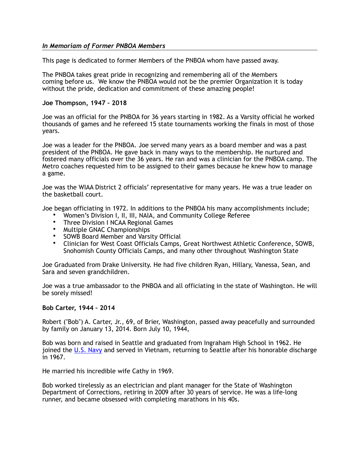## *In Memoriam of Former PNBOA Members*

This page is dedicated to former Members of the PNBOA whom have passed away.

The PNBOA takes great pride in recognizing and remembering all of the Members coming before us. We know the PNBOA would not be the premier Organization it is today without the pride, dedication and commitment of these amazing people!

## **Joe Thompson, 1947 – 2018**

Joe was an official for the PNBOA for 36 years starting in 1982. As a Varsity official he worked thousands of games and he refereed 15 state tournaments working the finals in most of those years.

Joe was a leader for the PNBOA. Joe served many years as a board member and was a past president of the PNBOA. He gave back in many ways to the membership. He nurtured and fostered many officials over the 36 years. He ran and was a clinician for the PNBOA camp. The Metro coaches requested him to be assigned to their games because he knew how to manage a game.

Joe was the WIAA District 2 officials' representative for many years. He was a true leader on the basketball court.

Joe began officiating in 1972. In additions to the PNBOA his many accomplishments include;

- Women's Division I, II, III, NAIA, and Community College Referee
- Three Division I NCAA Regional Games
- Multiple GNAC Championships
- SOWB Board Member and Varsity Official
- Clinician for West Coast Officials Camps, Great Northwest Athletic Conference, SOWB, Snohomish County Officials Camps, and many other throughout Washington State

Joe Graduated from Drake University. He had five children Ryan, Hillary, Vanessa, Sean, and Sara and seven grandchildren.

Joe was a true ambassador to the PNBOA and all officiating in the state of Washington. He will be sorely missed!

## **Bob Carter, 1944 – 2014**

Robert ("Bob") A. Carter, Jr., 69, of Brier, Washington, passed away peacefully and surrounded by family on January 13, 2014. Born July 10, 1944,

Bob was born and raised in Seattle and graduated from Ingraham High School in 1962. He joined the [U.S. Navy](http://www.legacy.com/memorial-sites/navy/) and served in Vietnam, returning to Seattle after his honorable discharge in 1967.

He married his incredible wife Cathy in 1969.

Bob worked tirelessly as an electrician and plant manager for the State of Washington Department of Corrections, retiring in 2009 after 30 years of service. He was a life-long runner, and became obsessed with completing marathons in his 40s.